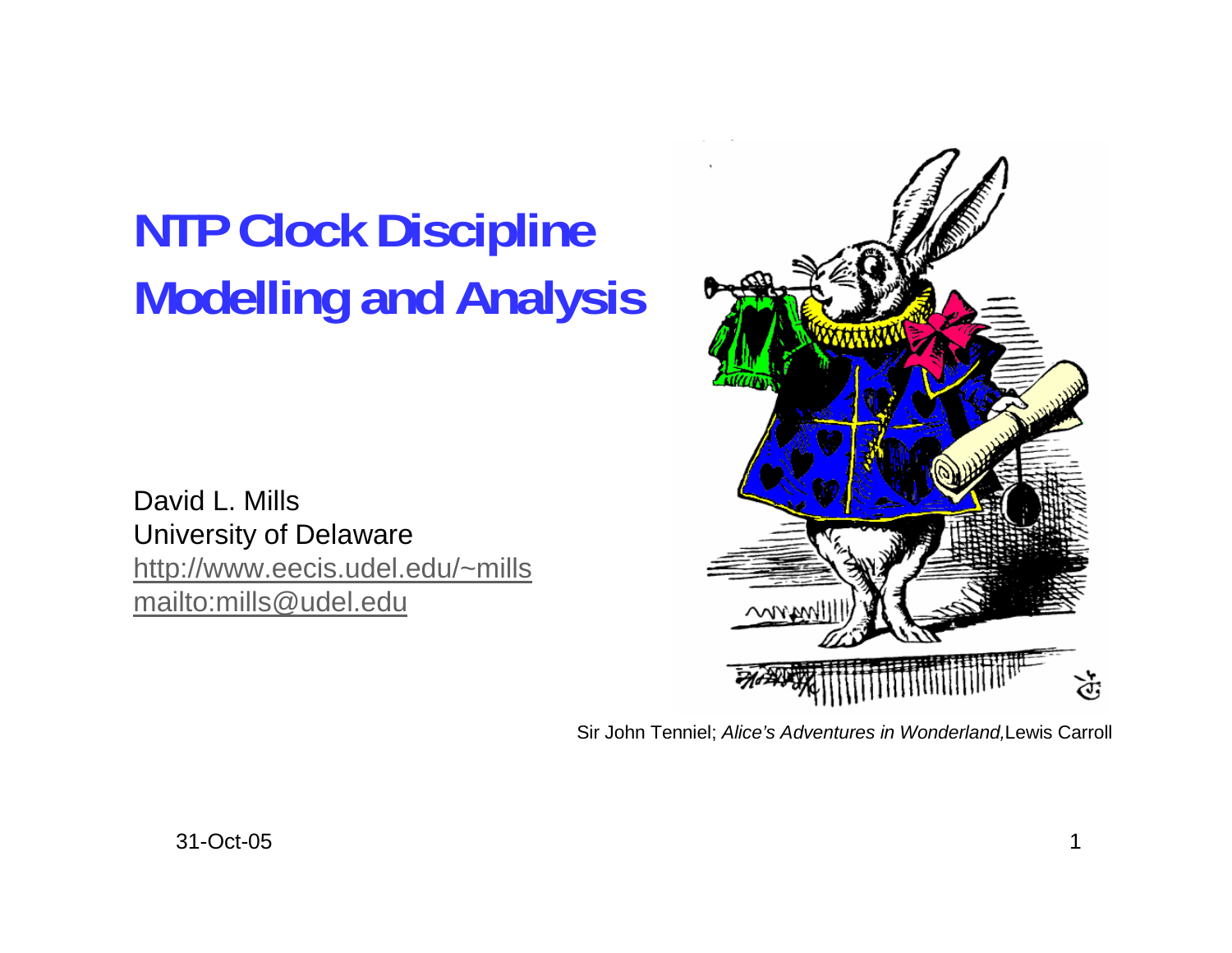## **NTP Clock Discipline Modelling and Analysis**

David L. MillsUniversity of Delaware http://www.eecis.udel.edu/~mills mailto:mills@udel.edu



Sir John Tenniel; *Alice's Adventures in Wonderland,*Lewis Carroll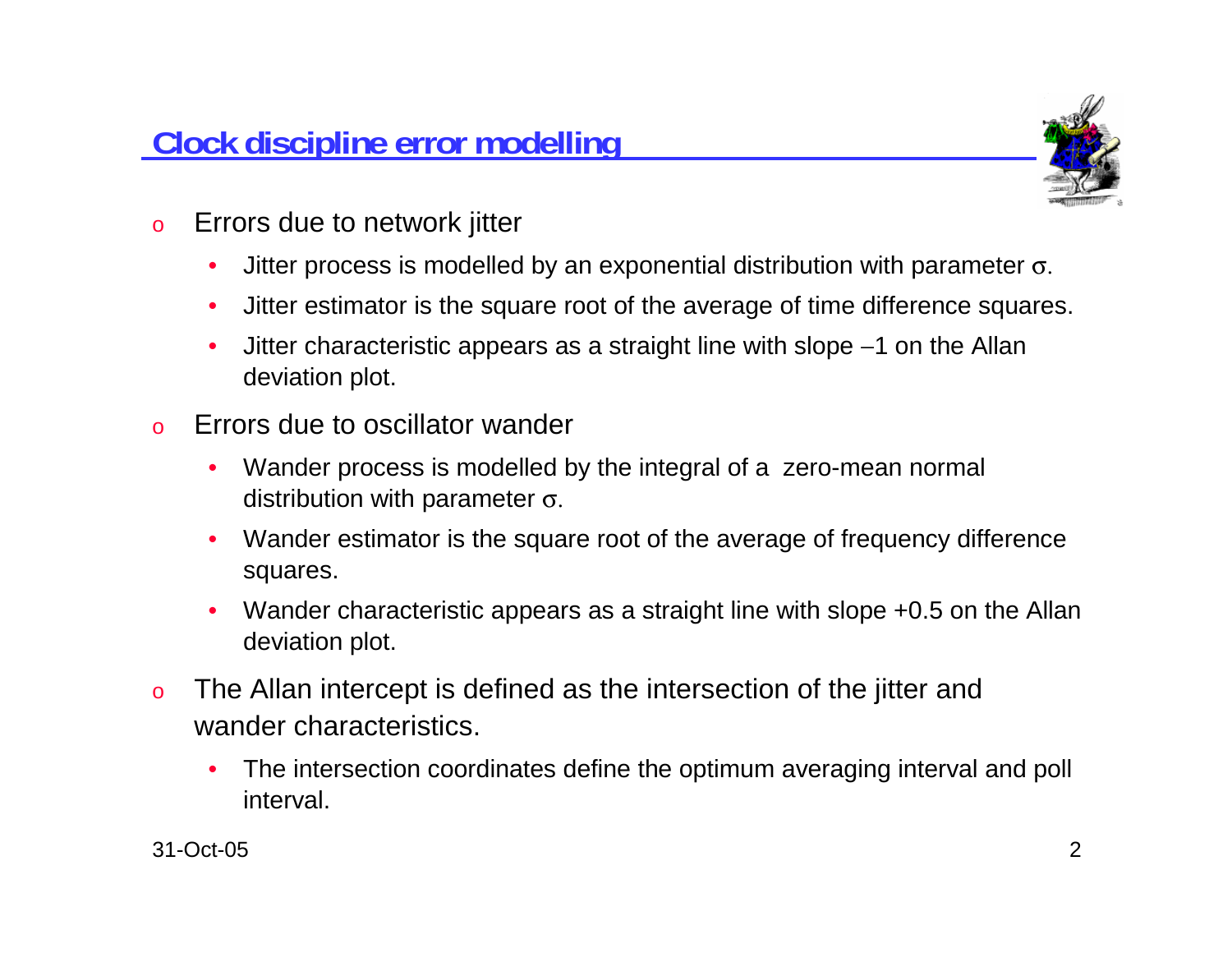

- o Errors due to network jitter
	- $\bullet$ Jitter process is modelled by an exponential distribution with parameter  $σ$ .
	- •Jitter estimator is the square root of the average of time difference squares.
	- • Jitter characteristic appears as a straight line with slope −1 on the Allan deviation plot.
- o Errors due to oscillator wander
	- • Wander process is modelled by the integral of a zero-mean normal distribution with parameter σ.
	- • Wander estimator is the square root of the average of frequency difference squares.
	- • Wander characteristic appears as a straight line with slope +0.5 on the Allan deviation plot.
- o The Allan intercept is defined as the intersection of the jitter and wander characteristics.
	- • The intersection coordinates define the optimum averaging interval and poll interval.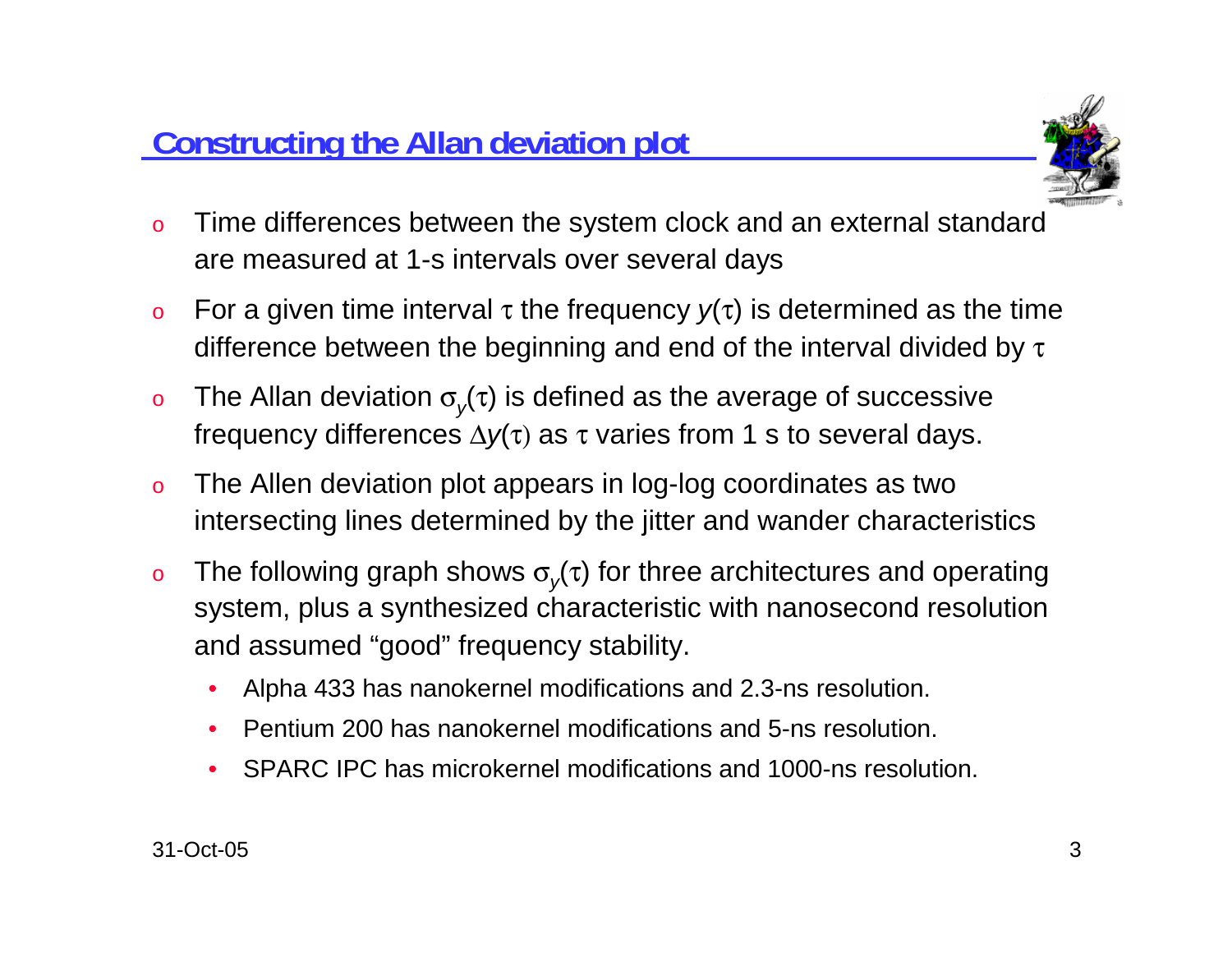

- o Time differences between the system clock and an external standard are measured at 1-s intervals over several days
- oFor a given time interval  $\tau$  the frequency  $y(\tau)$  is determined as the time difference between the beginning and end of the interval divided by  $\tau$
- oThe Allan deviation  $\sigma_{v}(\tau)$  is defined as the average of successive frequency differences Δ*y*(τ) as <sup>τ</sup> varies from 1 s to several days.
- o The Allen deviation plot appears in log-log coordinates as two intersecting lines determined by the jitter and wander characteristics
- oThe following graph shows  $\sigma_{v}(\tau)$  for three architectures and operating system, plus a synthesized characteristic with nanosecond resolution and assumed "good" frequency stability.
	- •Alpha 433 has nanokernel modifications and 2.3-ns resolution.
	- •Pentium 200 has nanokernel modifications and 5-ns resolution.
	- •SPARC IPC has microkernel modifications and 1000-ns resolution.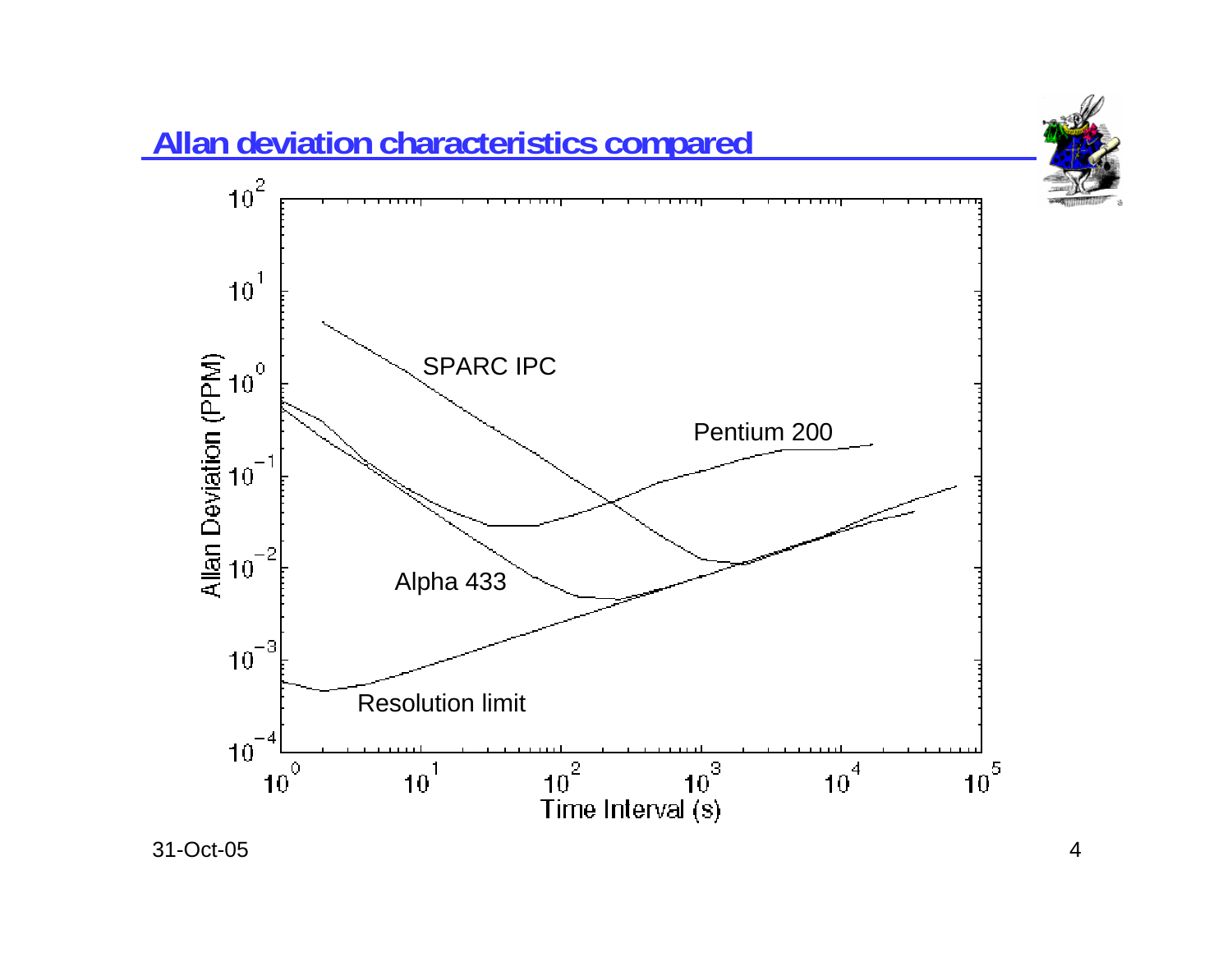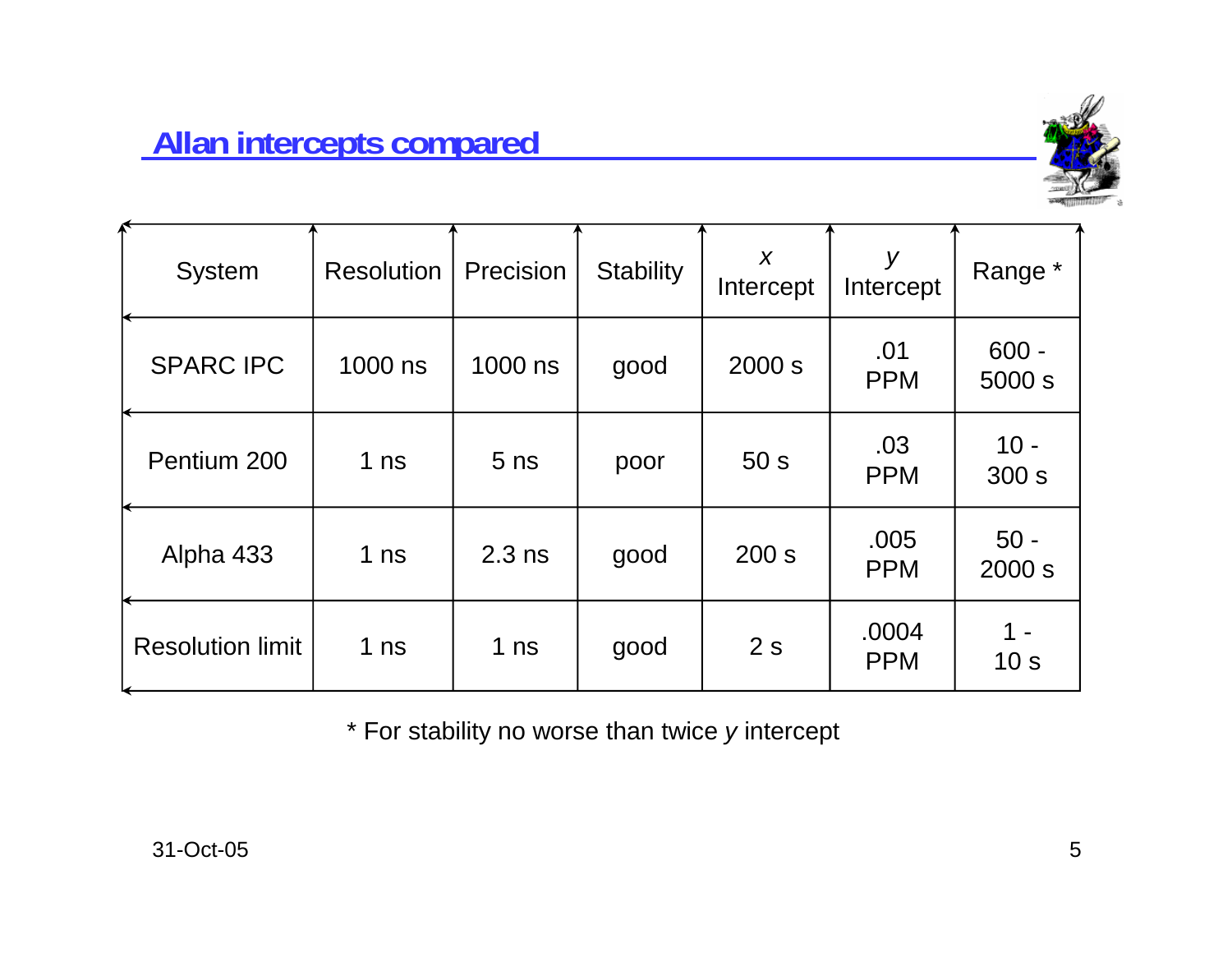

| <b>System</b>           | <b>Resolution</b> | Precision       | <b>Stability</b> | $\boldsymbol{X}$<br>Intercept | У<br>Intercept      | Range *           |
|-------------------------|-------------------|-----------------|------------------|-------------------------------|---------------------|-------------------|
| <b>SPARC IPC</b>        | 1000 ns           | 1000 ns         | good             | 2000 s                        | .01<br><b>PPM</b>   | $600 -$<br>5000 s |
| Pentium 200             | 1 <sub>ns</sub>   | 5 <sub>ns</sub> | poor             | 50 <sub>s</sub>               | .03<br><b>PPM</b>   | $10 -$<br>300 s   |
| Alpha 433               | 1 <sub>ns</sub>   | $2.3$ ns        | good             | 200 s                         | .005<br><b>PPM</b>  | $50 -$<br>2000 s  |
| <b>Resolution limit</b> | 1 <sub>ns</sub>   | 1 <sub>ns</sub> | good             | 2s                            | .0004<br><b>PPM</b> | 10 <sub>s</sub>   |

\* For stability no worse than twice *y* intercept

 $\overline{\phantom{a}}$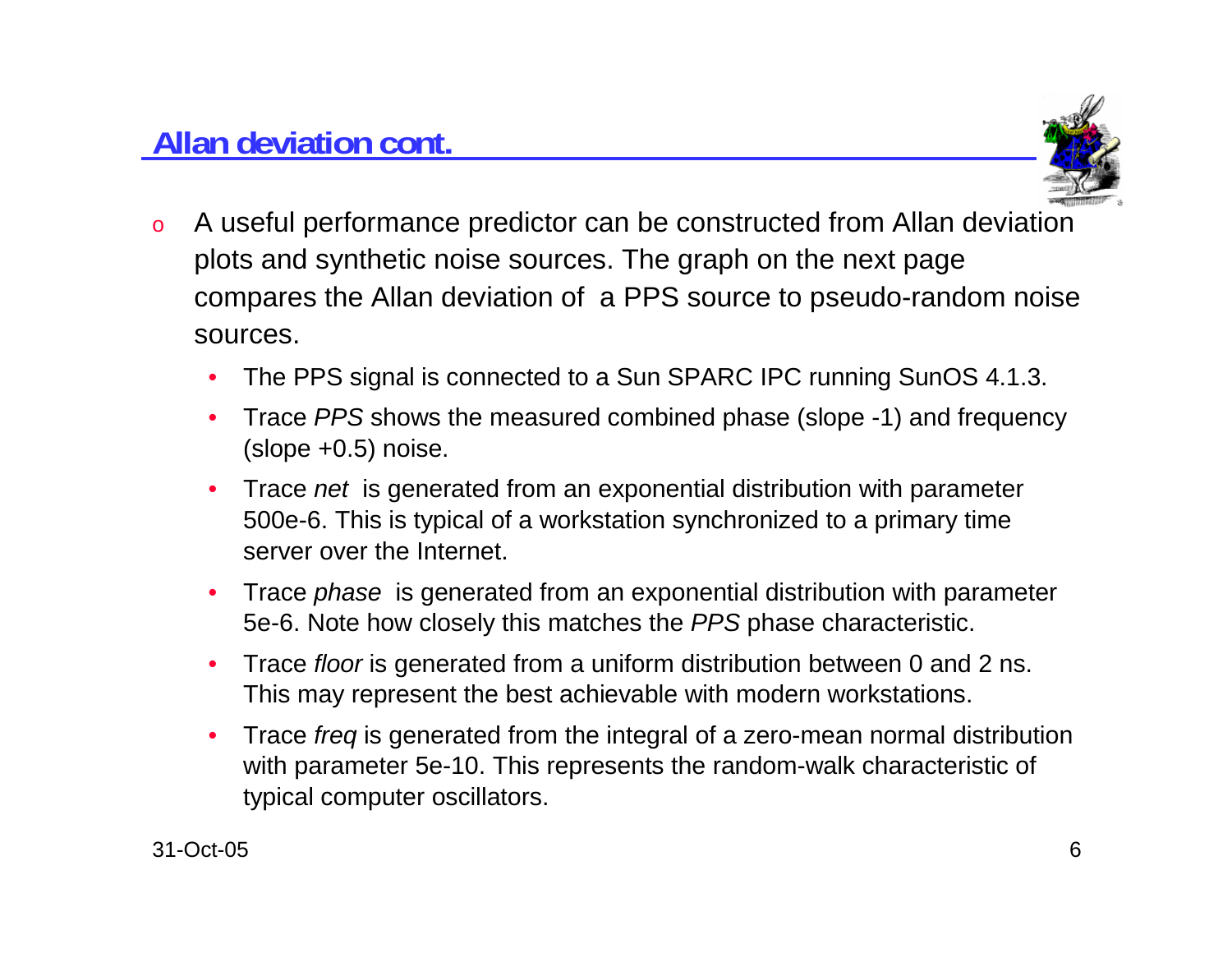

- o A useful performance predictor can be constructed from Allan deviation plots and synthetic noise sources. The graph on the next page compares the Allan deviation of a PPS source to pseudo-random noise sources.
	- •The PPS signal is connected to a Sun SPARC IPC running SunOS 4.1.3.
	- • Trace *PPS* shows the measured combined phase (slope -1) and frequency (slope +0.5) noise.
	- • Trace *net* is generated from an exponential distribution with parameter 500e-6. This is typical of a workstation synchronized to a primary time server over the Internet.
	- • Trace *phase* is generated from an exponential distribution with parameter 5e-6. Note how closely this matches the *PPS* phase characteristic.
	- •Trace *floor* is generated from a uniform distribution between 0 and 2 ns. This may represent the best achievable with modern workstations.
	- • Trace *freq* is generated from the integral of a zero-mean normal distribution with parameter 5e-10. This represents the random-walk characteristic of typical computer oscillators.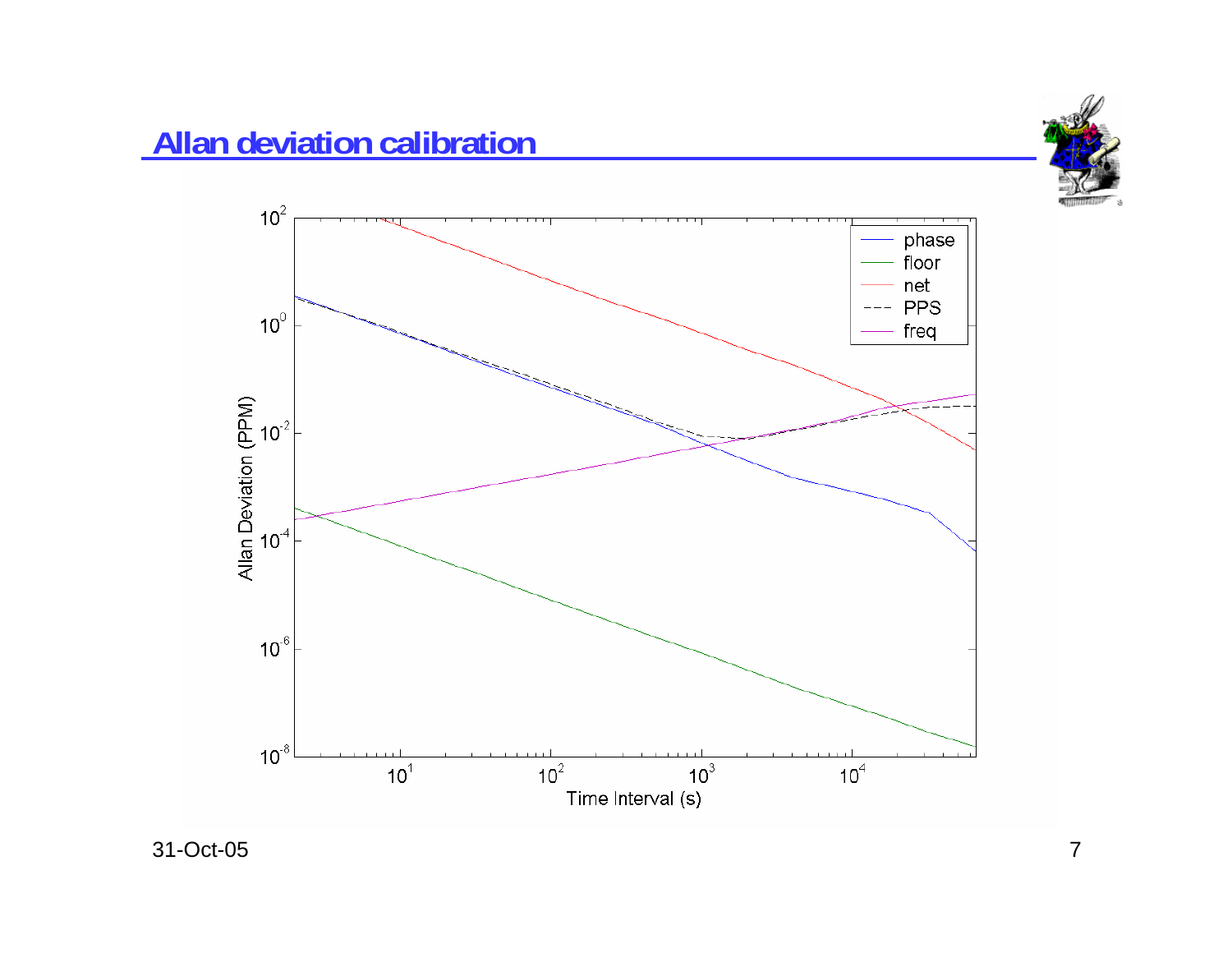

## **Allan deviation calibration**

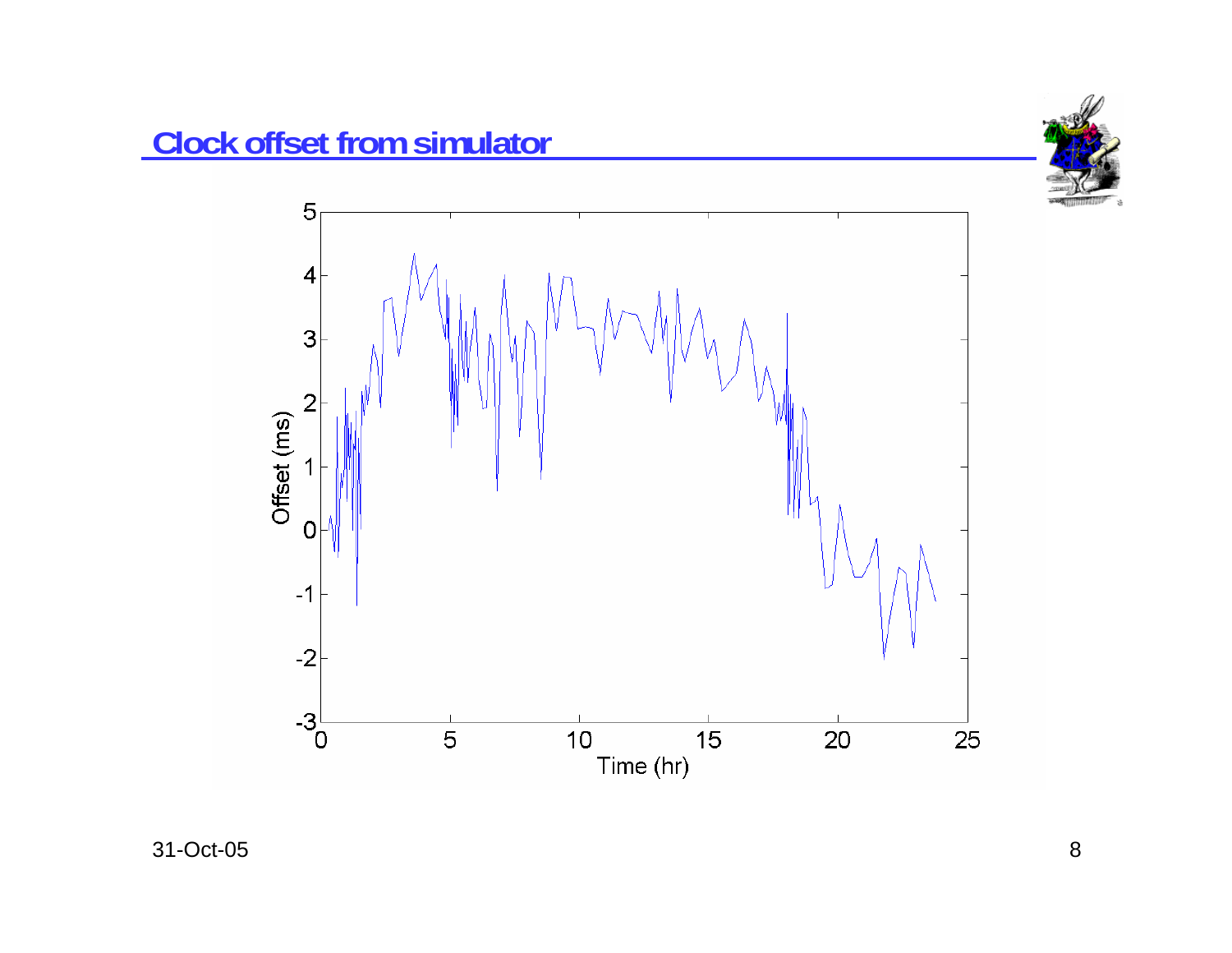

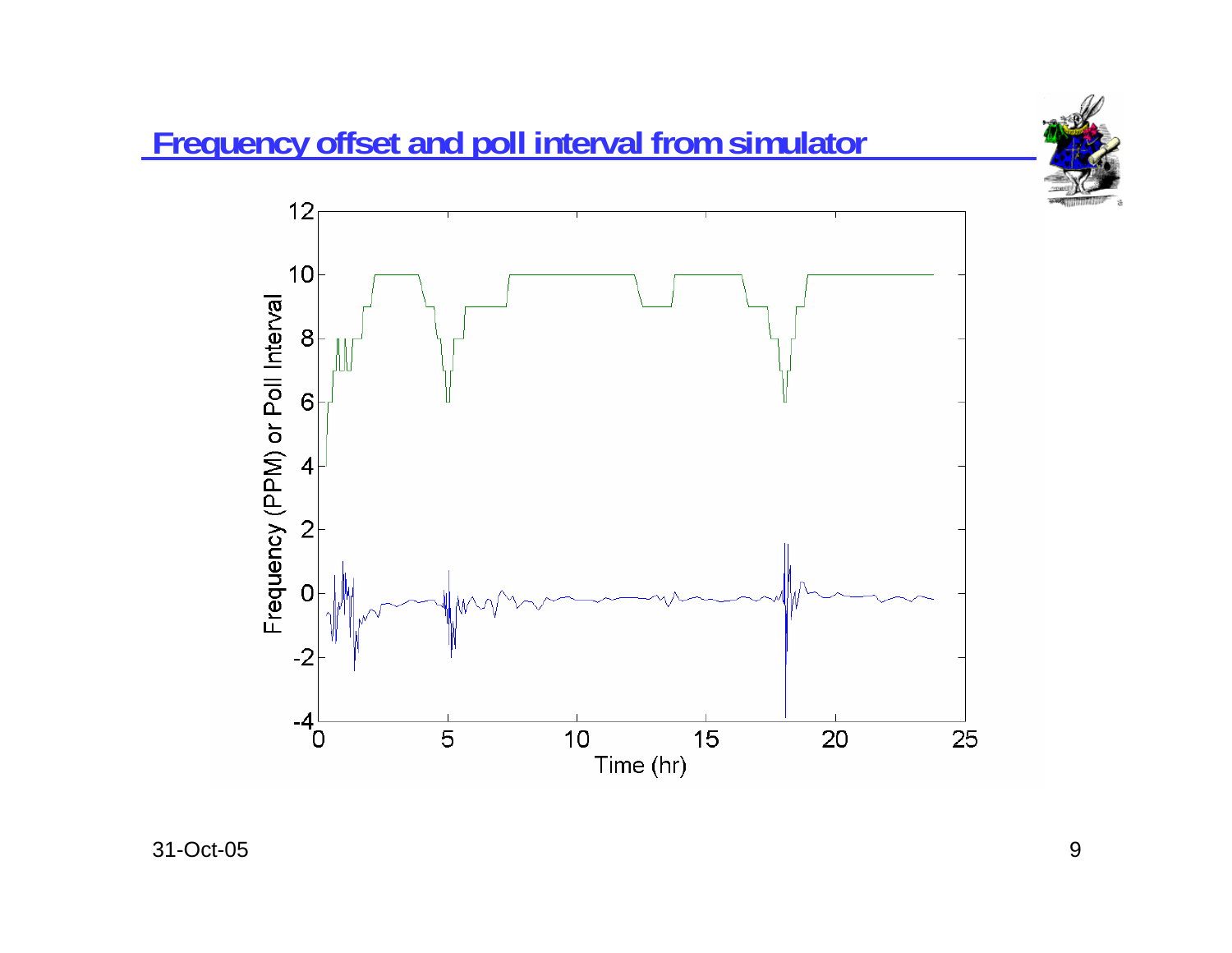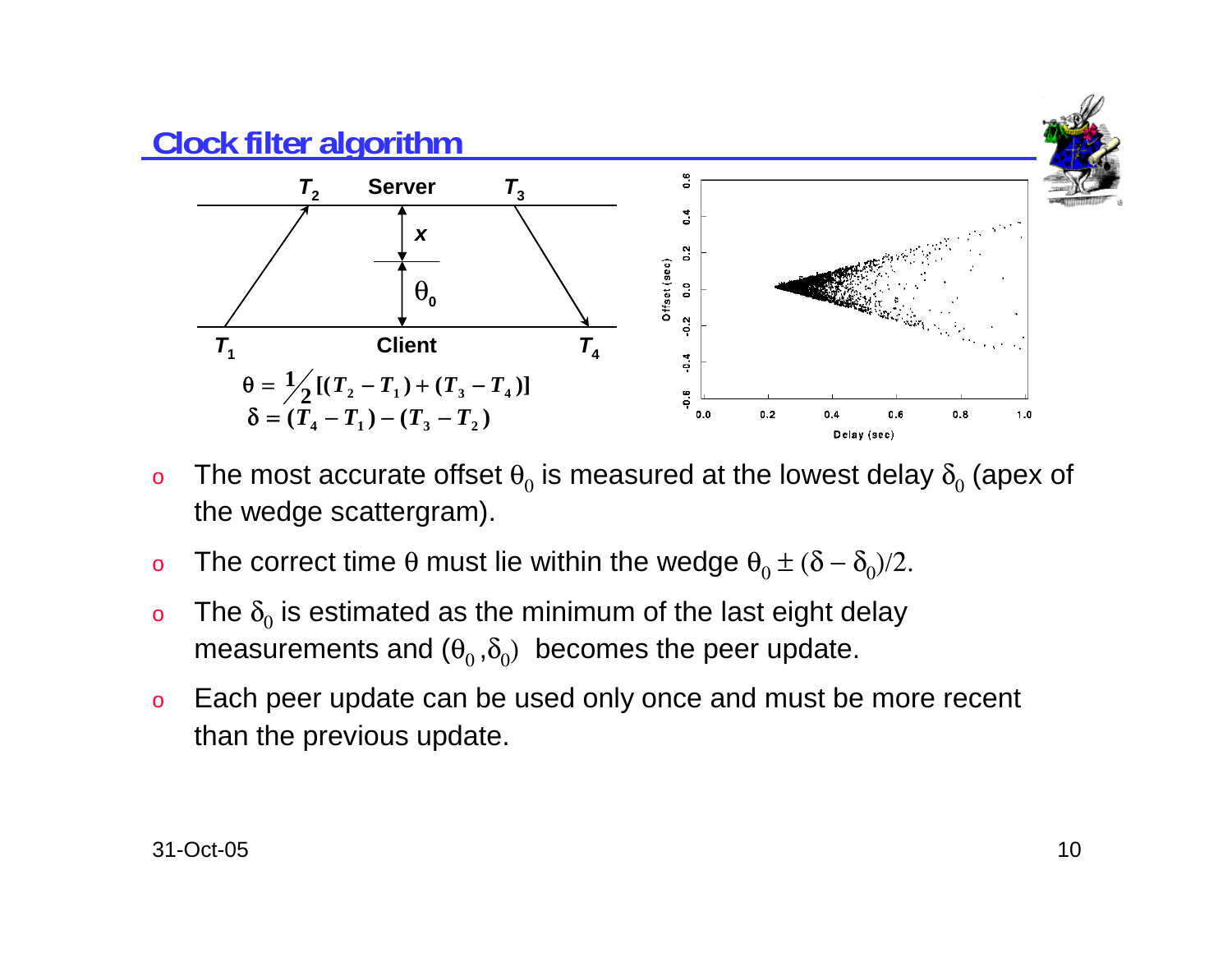

- o $\,$  The most accurate offset  $\theta_{0}$  is measured at the lowest delay  $\delta_{0}$  (apex of the wedge scattergram).
- o $\rm o$  The correct time θ must lie within the wedge  $\rm \theta_{0}$   $\pm$  (δ –  $\rm \delta_{0}$ )/2.
- oo The  $\delta_0$  is estimated as the minimum of the last eight delay measurements and  $(\theta_0, \delta_0)$  becomes the peer update.
- o Each peer update can be used only once and must be more recent than the previous update.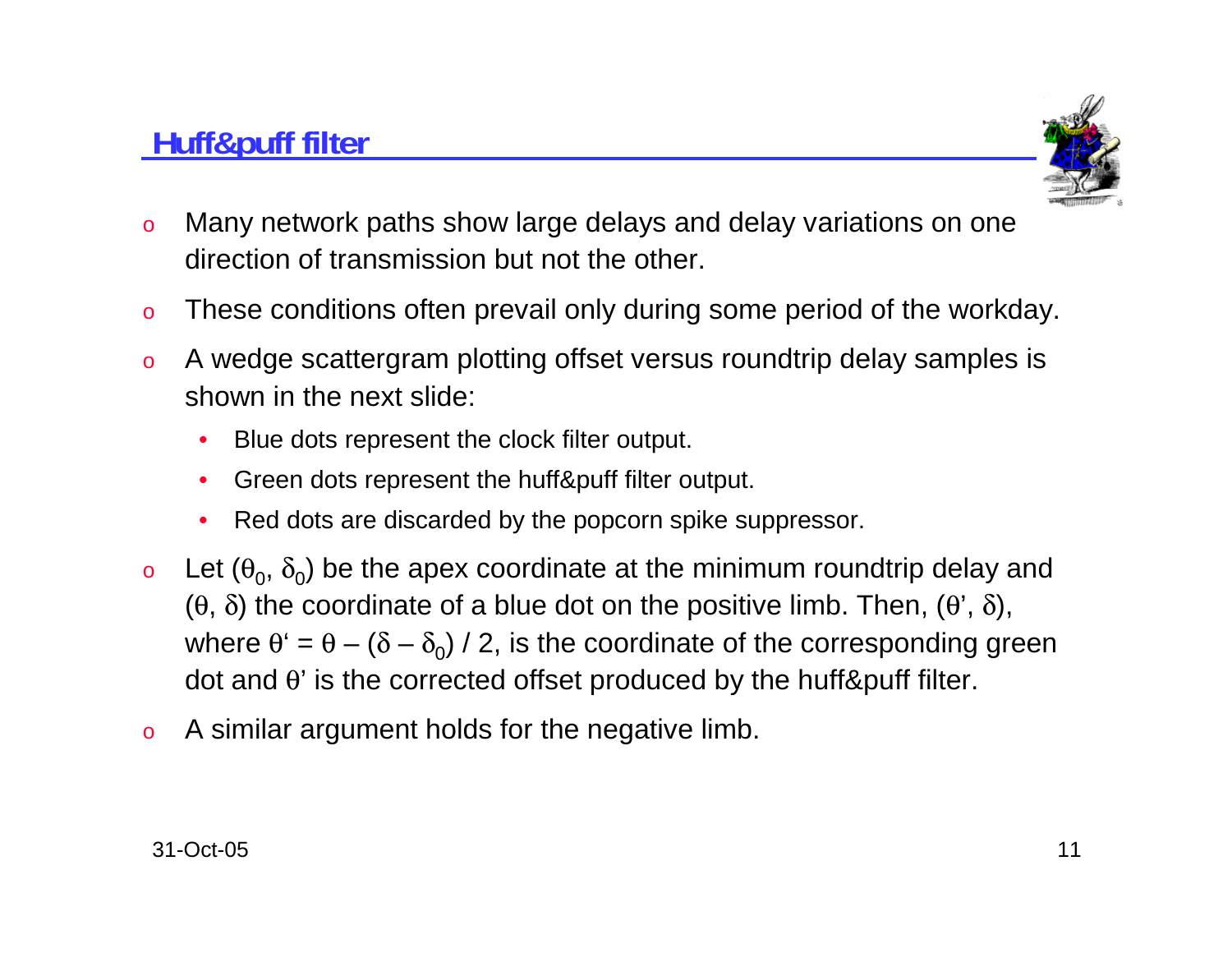

- o Many network paths show large delays and delay variations on one direction of transmission but not the other.
- oThese conditions often prevail only during some period of the workday.
- o A wedge scattergram plotting offset versus roundtrip delay samples is shown in the next slide:
	- •Blue dots represent the clock filter output.
	- $\bullet$ Green dots represent the huff&puff filter output.
	- •Red dots are discarded by the popcorn spike suppressor.
- oLet  $(\theta_0, \delta_0)$  be the apex coordinate at the minimum roundtrip delay and (θ, δ) the coordinate of a blue dot on the positive limb. Then, (θ', δ), where  $\theta' = \theta - (\delta - \delta_0)$  / 2, is the coordinate of the corresponding green dot and  $θ'$  is the corrected offset produced by the huff&puff filter.
- oA similar argument holds for the negative limb.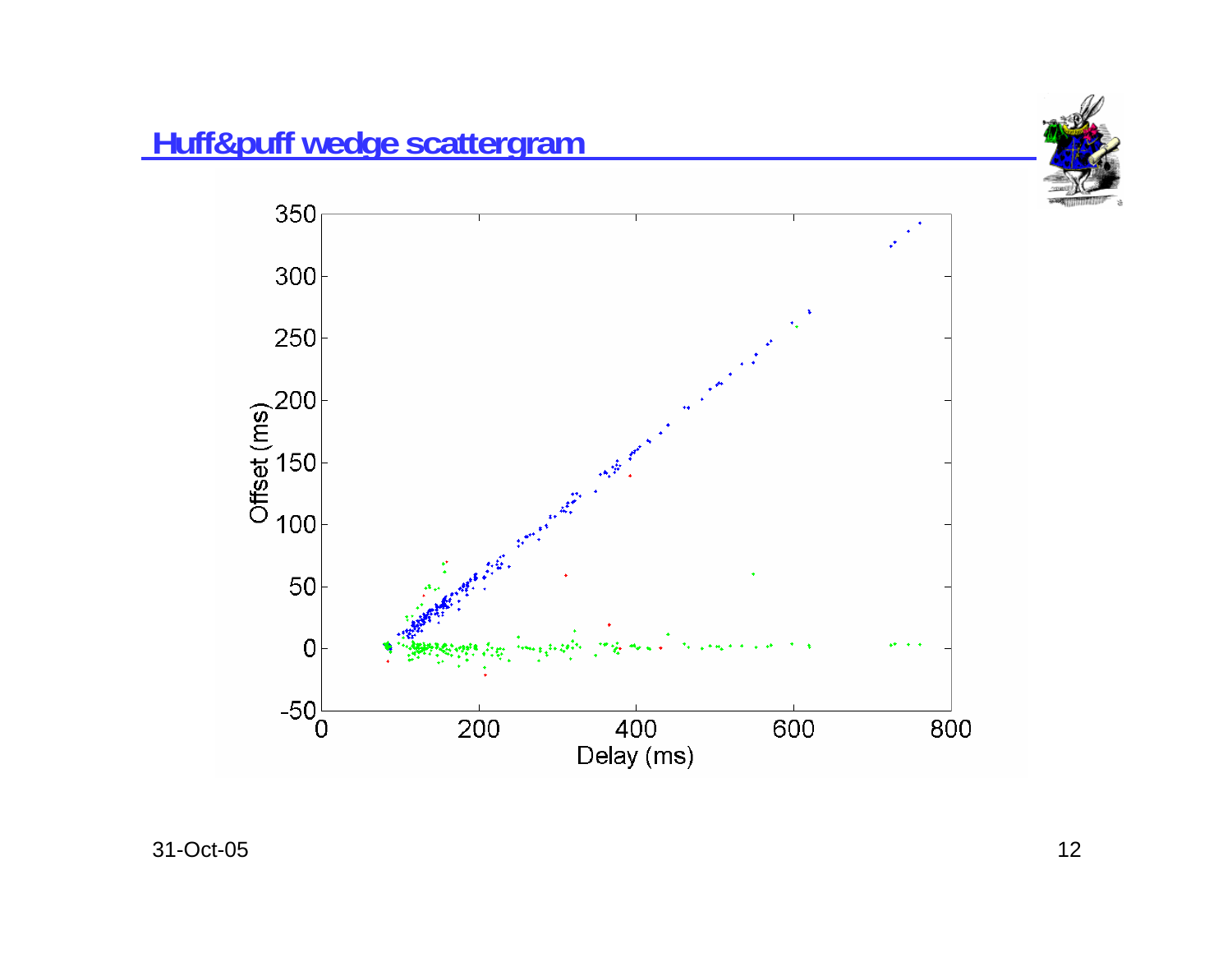



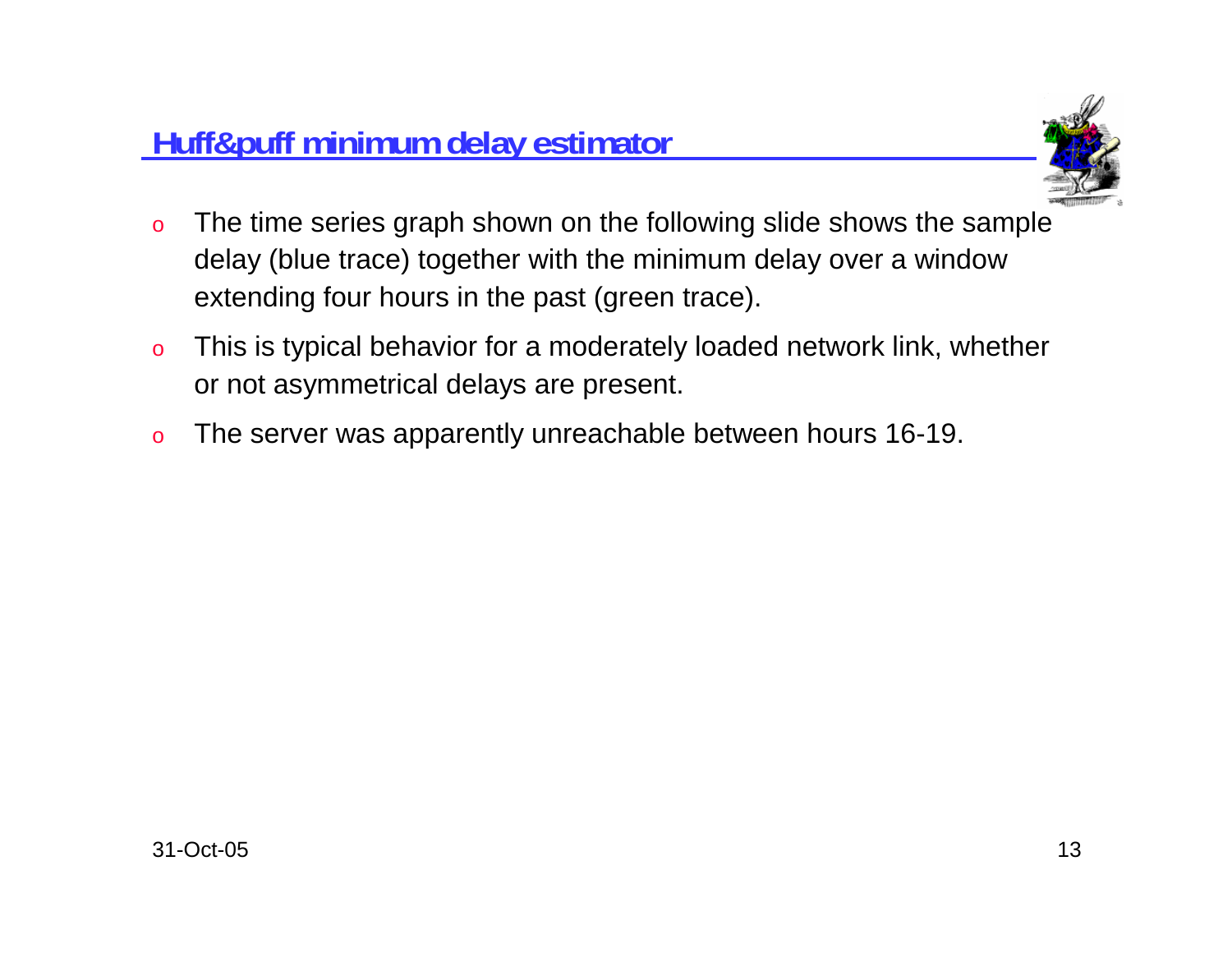

- o The time series graph shown on the following slide shows the sample delay (blue trace) together with the minimum delay over a window extending four hours in the past (green trace).
- o This is typical behavior for a moderately loaded network link, whether or not asymmetrical delays are present.
- oThe server was apparently unreachable between hours 16-19.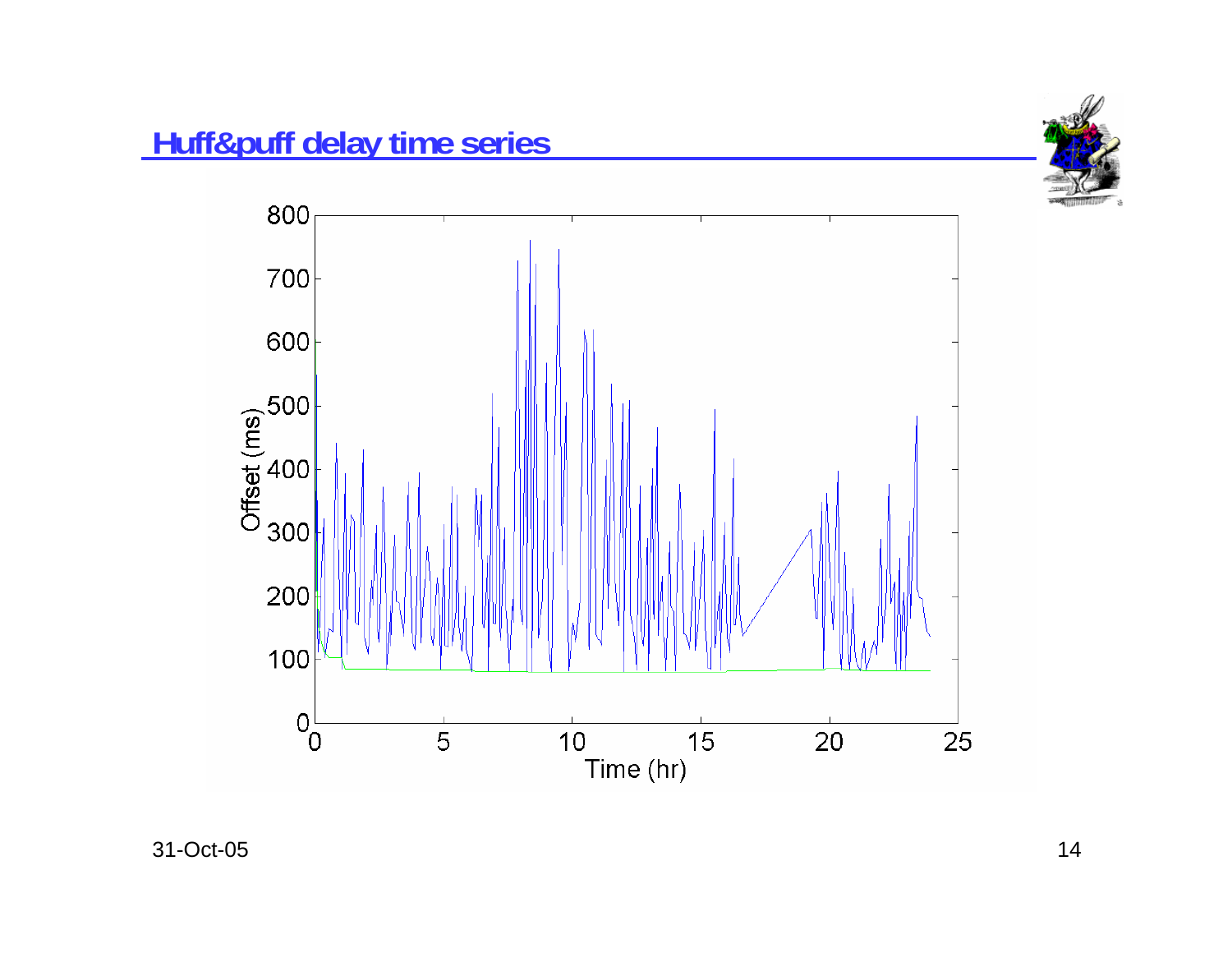



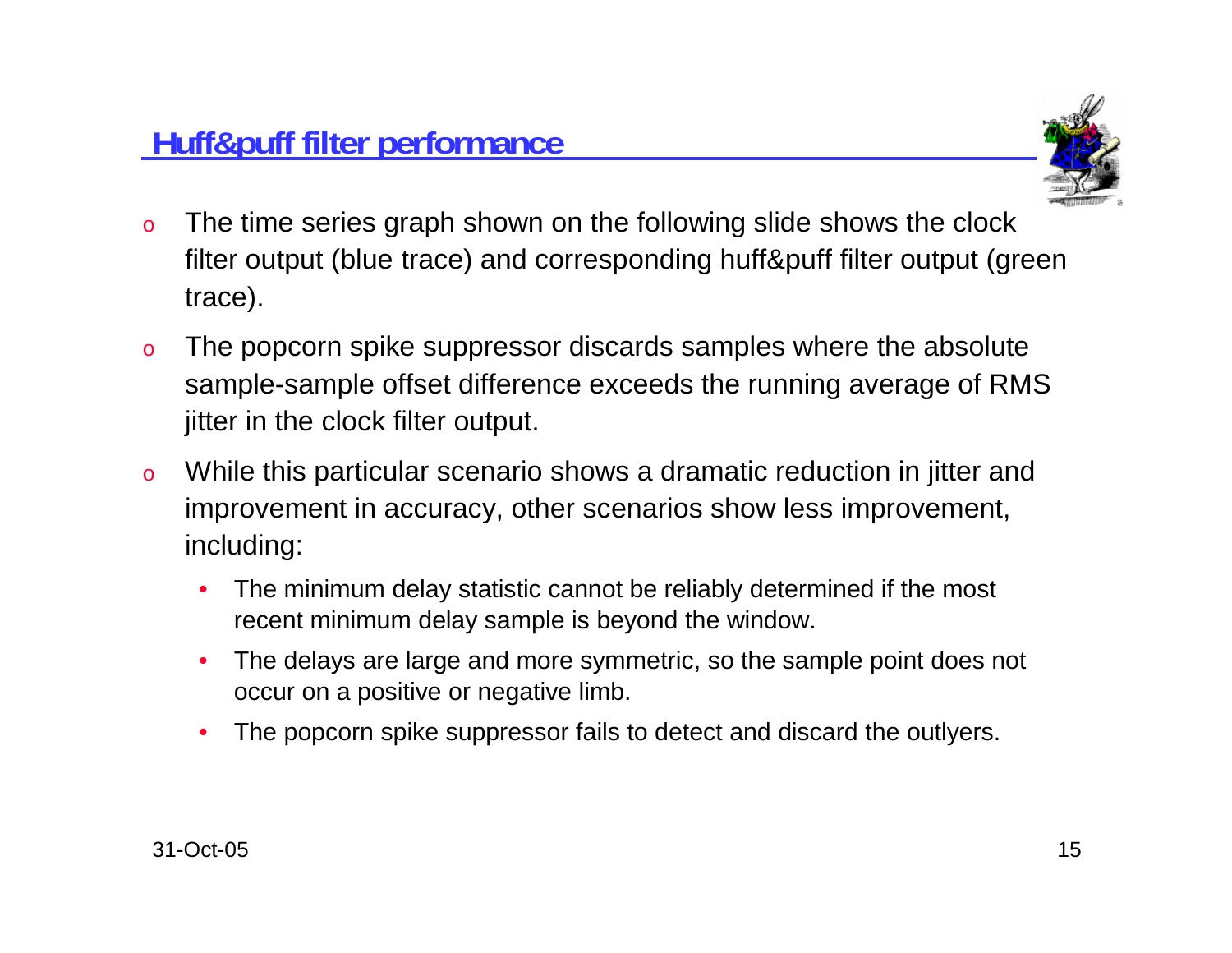

- o The time series graph shown on the following slide shows the clock filter output (blue trace) and corresponding huff&puff filter output (green trace).
- o The popcorn spike suppressor discards samples where the absolute sample-sample offset difference exceeds the running average of RMS jitter in the clock filter output.
- o While this particular scenario shows a dramatic reduction in jitter and improvement in accuracy, other scenarios show less improvement, including:
	- • The minimum delay statistic cannot be reliably determined if the most recent minimum delay sample is beyond the window.
	- • The delays are large and more symmetric, so the sample point does not occur on a positive or negative limb.
	- •The popcorn spike suppressor fails to detect and discard the outlyers.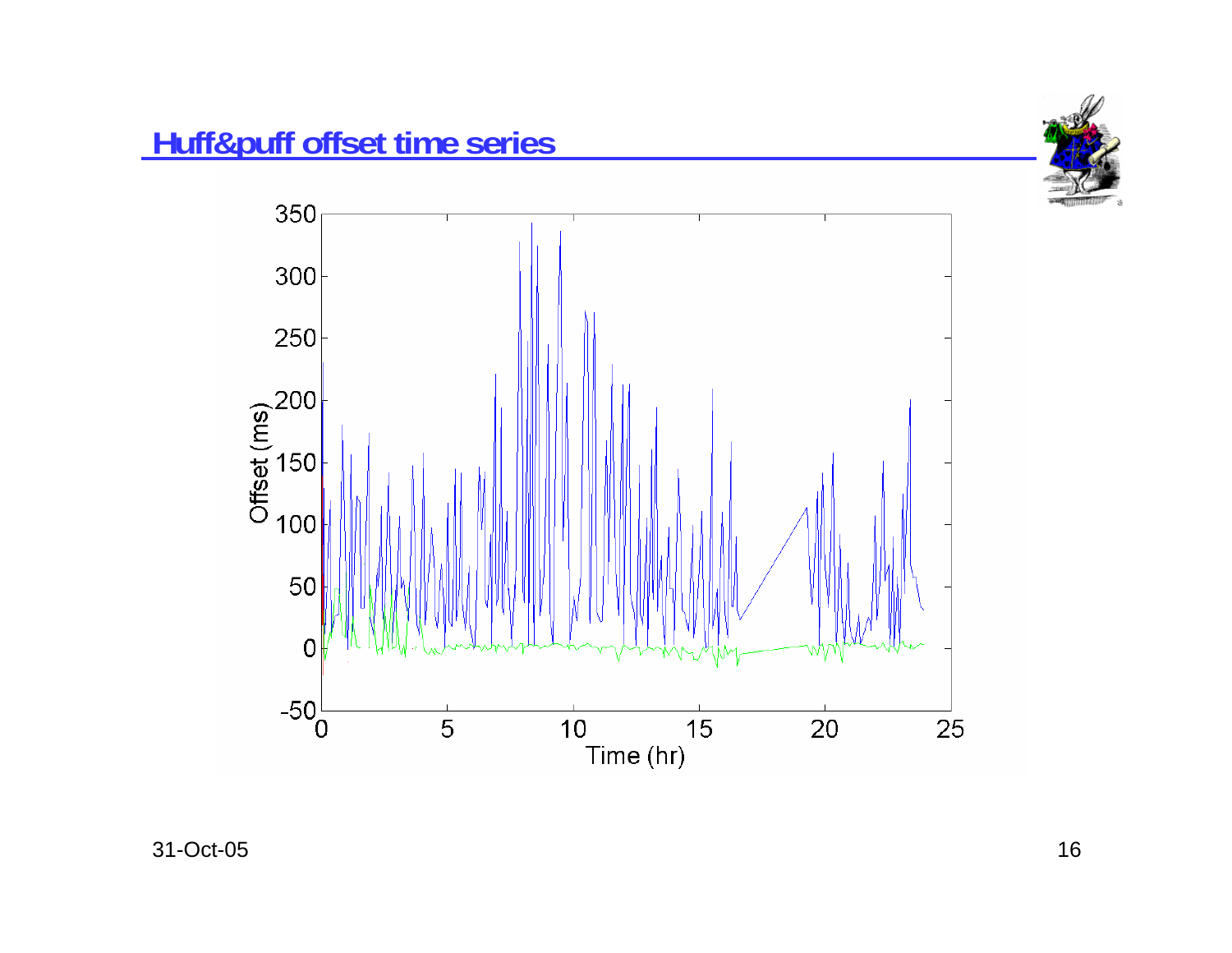



 $5$  and  $16$